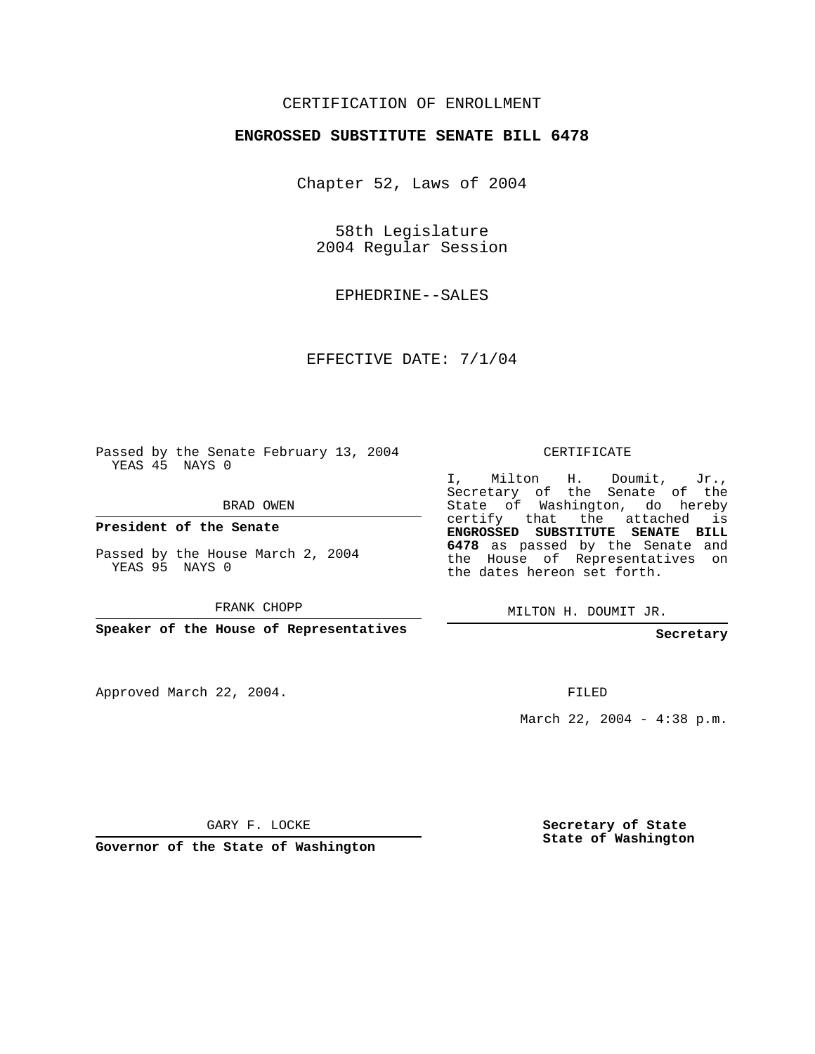## CERTIFICATION OF ENROLLMENT

## **ENGROSSED SUBSTITUTE SENATE BILL 6478**

Chapter 52, Laws of 2004

58th Legislature 2004 Regular Session

EPHEDRINE--SALES

EFFECTIVE DATE: 7/1/04

Passed by the Senate February 13, 2004 YEAS 45 NAYS 0

BRAD OWEN

**President of the Senate**

Passed by the House March 2, 2004 YEAS 95 NAYS 0

FRANK CHOPP

**Speaker of the House of Representatives**

Approved March 22, 2004.

CERTIFICATE

I, Milton H. Doumit, Jr., Secretary of the Senate of the State of Washington, do hereby certify that the attached is **ENGROSSED SUBSTITUTE SENATE BILL 6478** as passed by the Senate and the House of Representatives on the dates hereon set forth.

MILTON H. DOUMIT JR.

**Secretary**

FILED

March 22, 2004 - 4:38 p.m.

GARY F. LOCKE

**Governor of the State of Washington**

**Secretary of State State of Washington**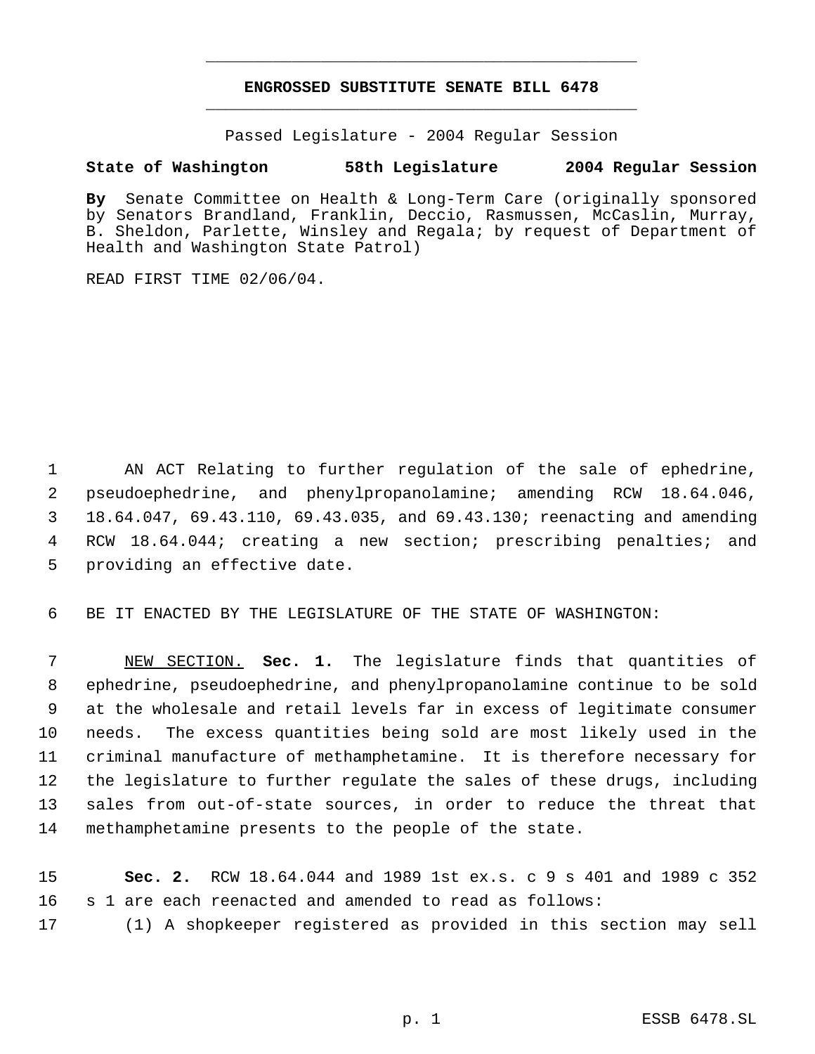## **ENGROSSED SUBSTITUTE SENATE BILL 6478** \_\_\_\_\_\_\_\_\_\_\_\_\_\_\_\_\_\_\_\_\_\_\_\_\_\_\_\_\_\_\_\_\_\_\_\_\_\_\_\_\_\_\_\_\_

\_\_\_\_\_\_\_\_\_\_\_\_\_\_\_\_\_\_\_\_\_\_\_\_\_\_\_\_\_\_\_\_\_\_\_\_\_\_\_\_\_\_\_\_\_

Passed Legislature - 2004 Regular Session

## **State of Washington 58th Legislature 2004 Regular Session**

**By** Senate Committee on Health & Long-Term Care (originally sponsored by Senators Brandland, Franklin, Deccio, Rasmussen, McCaslin, Murray, B. Sheldon, Parlette, Winsley and Regala; by request of Department of Health and Washington State Patrol)

READ FIRST TIME 02/06/04.

 AN ACT Relating to further regulation of the sale of ephedrine, pseudoephedrine, and phenylpropanolamine; amending RCW 18.64.046, 18.64.047, 69.43.110, 69.43.035, and 69.43.130; reenacting and amending RCW 18.64.044; creating a new section; prescribing penalties; and providing an effective date.

BE IT ENACTED BY THE LEGISLATURE OF THE STATE OF WASHINGTON:

 NEW SECTION. **Sec. 1.** The legislature finds that quantities of ephedrine, pseudoephedrine, and phenylpropanolamine continue to be sold at the wholesale and retail levels far in excess of legitimate consumer needs. The excess quantities being sold are most likely used in the criminal manufacture of methamphetamine. It is therefore necessary for the legislature to further regulate the sales of these drugs, including sales from out-of-state sources, in order to reduce the threat that methamphetamine presents to the people of the state.

 **Sec. 2.** RCW 18.64.044 and 1989 1st ex.s. c 9 s 401 and 1989 c 352 s 1 are each reenacted and amended to read as follows:

(1) A shopkeeper registered as provided in this section may sell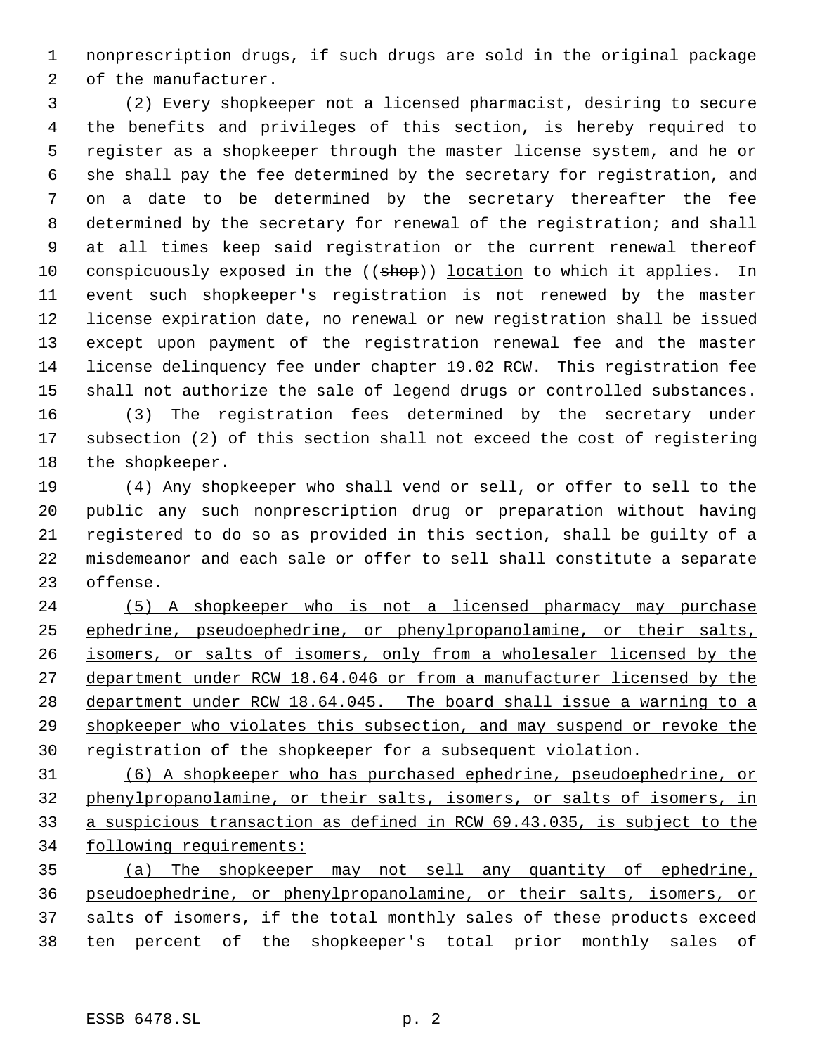nonprescription drugs, if such drugs are sold in the original package of the manufacturer.

 (2) Every shopkeeper not a licensed pharmacist, desiring to secure the benefits and privileges of this section, is hereby required to register as a shopkeeper through the master license system, and he or she shall pay the fee determined by the secretary for registration, and on a date to be determined by the secretary thereafter the fee determined by the secretary for renewal of the registration; and shall at all times keep said registration or the current renewal thereof 10 conspicuously exposed in the ((shop)) location to which it applies. In event such shopkeeper's registration is not renewed by the master license expiration date, no renewal or new registration shall be issued except upon payment of the registration renewal fee and the master license delinquency fee under chapter 19.02 RCW. This registration fee shall not authorize the sale of legend drugs or controlled substances. (3) The registration fees determined by the secretary under

 subsection (2) of this section shall not exceed the cost of registering the shopkeeper.

 (4) Any shopkeeper who shall vend or sell, or offer to sell to the public any such nonprescription drug or preparation without having registered to do so as provided in this section, shall be guilty of a misdemeanor and each sale or offer to sell shall constitute a separate offense.

 (5) A shopkeeper who is not a licensed pharmacy may purchase ephedrine, pseudoephedrine, or phenylpropanolamine, or their salts, isomers, or salts of isomers, only from a wholesaler licensed by the department under RCW 18.64.046 or from a manufacturer licensed by the department under RCW 18.64.045. The board shall issue a warning to a shopkeeper who violates this subsection, and may suspend or revoke the registration of the shopkeeper for a subsequent violation.

 (6) A shopkeeper who has purchased ephedrine, pseudoephedrine, or phenylpropanolamine, or their salts, isomers, or salts of isomers, in a suspicious transaction as defined in RCW 69.43.035, is subject to the following requirements:

 (a) The shopkeeper may not sell any quantity of ephedrine, pseudoephedrine, or phenylpropanolamine, or their salts, isomers, or 37 salts of isomers, if the total monthly sales of these products exceed ten percent of the shopkeeper's total prior monthly sales of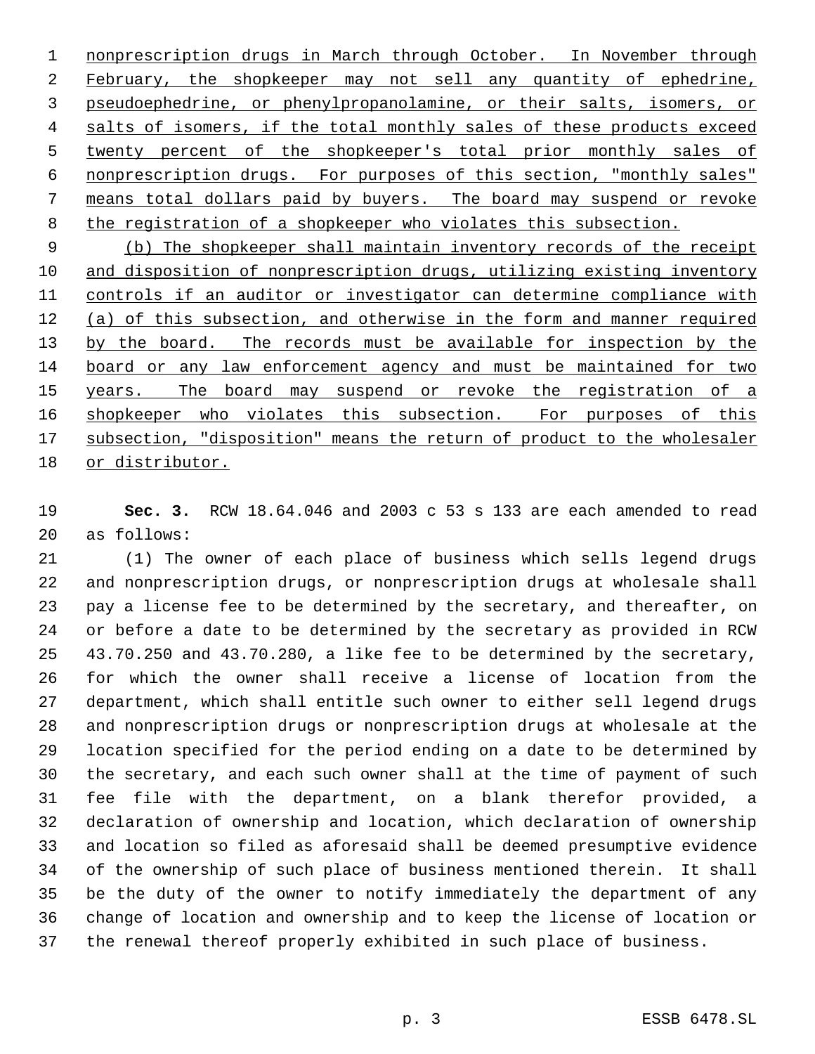1 nonprescription drugs in March through October. In November through February, the shopkeeper may not sell any quantity of ephedrine, pseudoephedrine, or phenylpropanolamine, or their salts, isomers, or 4 salts of isomers, if the total monthly sales of these products exceed twenty percent of the shopkeeper's total prior monthly sales of nonprescription drugs. For purposes of this section, "monthly sales" means total dollars paid by buyers. The board may suspend or revoke 8 the registration of a shopkeeper who violates this subsection.

 (b) The shopkeeper shall maintain inventory records of the receipt and disposition of nonprescription drugs, utilizing existing inventory controls if an auditor or investigator can determine compliance with (a) of this subsection, and otherwise in the form and manner required 13 by the board. The records must be available for inspection by the board or any law enforcement agency and must be maintained for two 15 years. The board may suspend or revoke the registration of a 16 shopkeeper who violates this subsection. For purposes of this 17 subsection, "disposition" means the return of product to the wholesaler or distributor.

 **Sec. 3.** RCW 18.64.046 and 2003 c 53 s 133 are each amended to read as follows:

 (1) The owner of each place of business which sells legend drugs and nonprescription drugs, or nonprescription drugs at wholesale shall pay a license fee to be determined by the secretary, and thereafter, on or before a date to be determined by the secretary as provided in RCW 43.70.250 and 43.70.280, a like fee to be determined by the secretary, for which the owner shall receive a license of location from the department, which shall entitle such owner to either sell legend drugs and nonprescription drugs or nonprescription drugs at wholesale at the location specified for the period ending on a date to be determined by the secretary, and each such owner shall at the time of payment of such fee file with the department, on a blank therefor provided, a declaration of ownership and location, which declaration of ownership and location so filed as aforesaid shall be deemed presumptive evidence of the ownership of such place of business mentioned therein. It shall be the duty of the owner to notify immediately the department of any change of location and ownership and to keep the license of location or the renewal thereof properly exhibited in such place of business.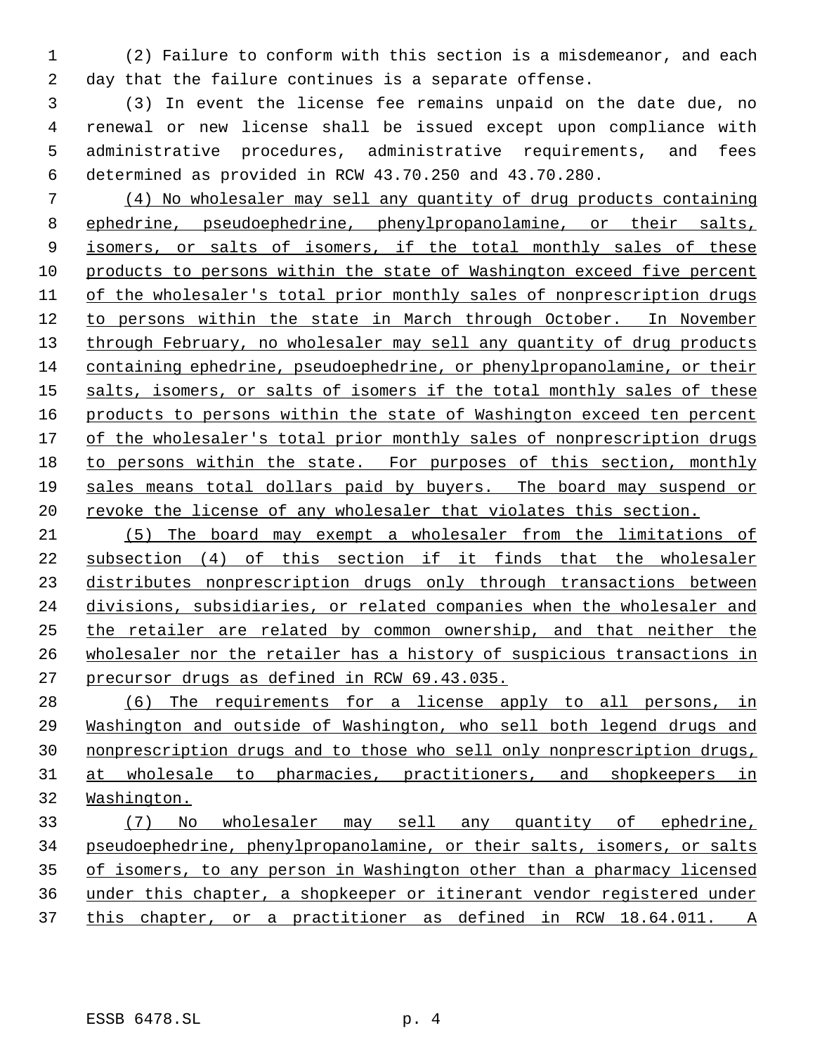(2) Failure to conform with this section is a misdemeanor, and each day that the failure continues is a separate offense.

 (3) In event the license fee remains unpaid on the date due, no renewal or new license shall be issued except upon compliance with administrative procedures, administrative requirements, and fees determined as provided in RCW 43.70.250 and 43.70.280.

 (4) No wholesaler may sell any quantity of drug products containing ephedrine, pseudoephedrine, phenylpropanolamine, or their salts, 9 isomers, or salts of isomers, if the total monthly sales of these products to persons within the state of Washington exceed five percent of the wholesaler's total prior monthly sales of nonprescription drugs to persons within the state in March through October. In November 13 through February, no wholesaler may sell any quantity of drug products containing ephedrine, pseudoephedrine, or phenylpropanolamine, or their 15 salts, isomers, or salts of isomers if the total monthly sales of these 16 products to persons within the state of Washington exceed ten percent 17 of the wholesaler's total prior monthly sales of nonprescription drugs to persons within the state. For purposes of this section, monthly sales means total dollars paid by buyers. The board may suspend or 20 revoke the license of any wholesaler that violates this section.

 (5) The board may exempt a wholesaler from the limitations of subsection (4) of this section if it finds that the wholesaler distributes nonprescription drugs only through transactions between divisions, subsidiaries, or related companies when the wholesaler and the retailer are related by common ownership, and that neither the wholesaler nor the retailer has a history of suspicious transactions in precursor drugs as defined in RCW 69.43.035.

 (6) The requirements for a license apply to all persons, in Washington and outside of Washington, who sell both legend drugs and nonprescription drugs and to those who sell only nonprescription drugs, 31 at wholesale to pharmacies, practitioners, and shopkeepers in Washington.

 (7) No wholesaler may sell any quantity of ephedrine, pseudoephedrine, phenylpropanolamine, or their salts, isomers, or salts of isomers, to any person in Washington other than a pharmacy licensed under this chapter, a shopkeeper or itinerant vendor registered under 37 this chapter, or a practitioner as defined in RCW 18.64.011. A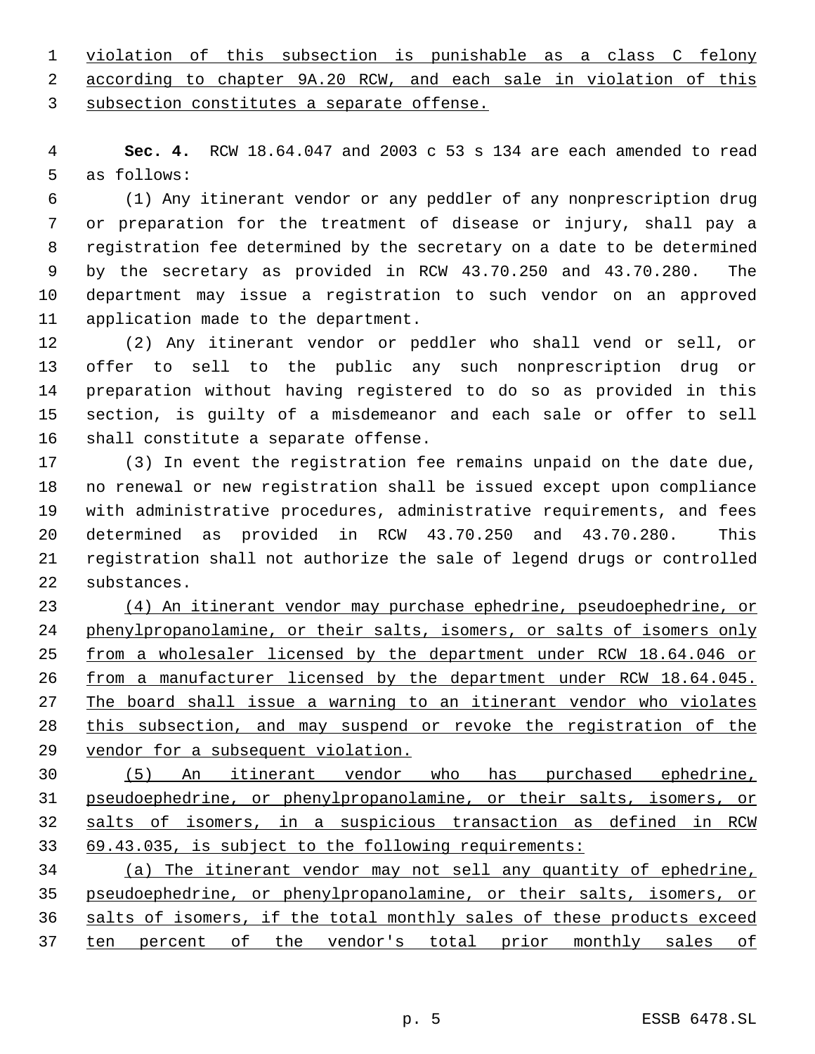violation of this subsection is punishable as a class C felony

according to chapter 9A.20 RCW, and each sale in violation of this

subsection constitutes a separate offense.

 **Sec. 4.** RCW 18.64.047 and 2003 c 53 s 134 are each amended to read as follows:

 (1) Any itinerant vendor or any peddler of any nonprescription drug or preparation for the treatment of disease or injury, shall pay a registration fee determined by the secretary on a date to be determined by the secretary as provided in RCW 43.70.250 and 43.70.280. The department may issue a registration to such vendor on an approved application made to the department.

 (2) Any itinerant vendor or peddler who shall vend or sell, or offer to sell to the public any such nonprescription drug or preparation without having registered to do so as provided in this section, is guilty of a misdemeanor and each sale or offer to sell shall constitute a separate offense.

 (3) In event the registration fee remains unpaid on the date due, no renewal or new registration shall be issued except upon compliance with administrative procedures, administrative requirements, and fees determined as provided in RCW 43.70.250 and 43.70.280. This registration shall not authorize the sale of legend drugs or controlled substances.

 (4) An itinerant vendor may purchase ephedrine, pseudoephedrine, or phenylpropanolamine, or their salts, isomers, or salts of isomers only 25 from a wholesaler licensed by the department under RCW 18.64.046 or from a manufacturer licensed by the department under RCW 18.64.045. The board shall issue a warning to an itinerant vendor who violates this subsection, and may suspend or revoke the registration of the 29 vendor for a subsequent violation.

 (5) An itinerant vendor who has purchased ephedrine, pseudoephedrine, or phenylpropanolamine, or their salts, isomers, or salts of isomers, in a suspicious transaction as defined in RCW 69.43.035, is subject to the following requirements:

 (a) The itinerant vendor may not sell any quantity of ephedrine, pseudoephedrine, or phenylpropanolamine, or their salts, isomers, or salts of isomers, if the total monthly sales of these products exceed 37 ten percent of the vendor's total prior monthly sales of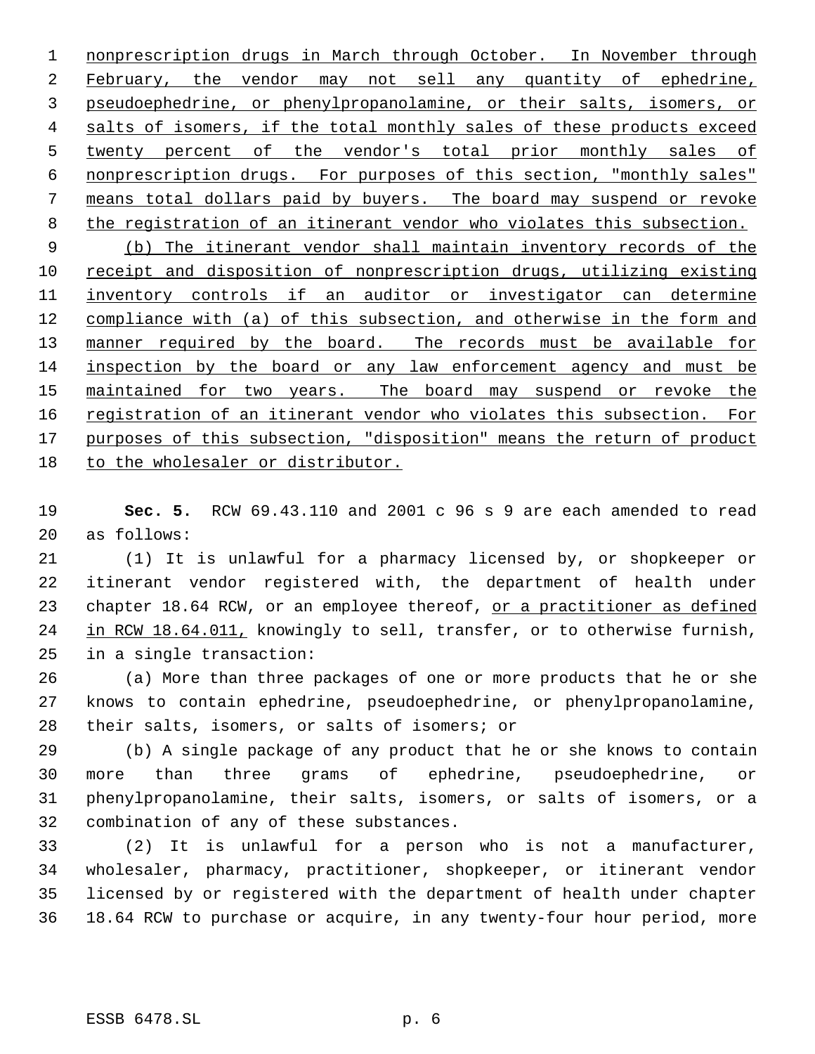1 nonprescription drugs in March through October. In November through 2 February, the vendor may not sell any quantity of ephedrine, pseudoephedrine, or phenylpropanolamine, or their salts, isomers, or 4 salts of isomers, if the total monthly sales of these products exceed 5 twenty percent of the vendor's total prior monthly sales of nonprescription drugs. For purposes of this section, "monthly sales" means total dollars paid by buyers. The board may suspend or revoke 8 the registration of an itinerant vendor who violates this subsection.

 (b) The itinerant vendor shall maintain inventory records of the receipt and disposition of nonprescription drugs, utilizing existing 11 inventory controls if an auditor or investigator can determine 12 compliance with (a) of this subsection, and otherwise in the form and 13 manner required by the board. The records must be available for inspection by the board or any law enforcement agency and must be 15 maintained for two years. The board may suspend or revoke the 16 registration of an itinerant vendor who violates this subsection. For 17 purposes of this subsection, "disposition" means the return of product to the wholesaler or distributor.

 **Sec. 5.** RCW 69.43.110 and 2001 c 96 s 9 are each amended to read as follows:

 (1) It is unlawful for a pharmacy licensed by, or shopkeeper or itinerant vendor registered with, the department of health under 23 chapter 18.64 RCW, or an employee thereof, or a practitioner as defined 24 in RCW 18.64.011, knowingly to sell, transfer, or to otherwise furnish, in a single transaction:

 (a) More than three packages of one or more products that he or she knows to contain ephedrine, pseudoephedrine, or phenylpropanolamine, their salts, isomers, or salts of isomers; or

 (b) A single package of any product that he or she knows to contain more than three grams of ephedrine, pseudoephedrine, or phenylpropanolamine, their salts, isomers, or salts of isomers, or a combination of any of these substances.

 (2) It is unlawful for a person who is not a manufacturer, wholesaler, pharmacy, practitioner, shopkeeper, or itinerant vendor licensed by or registered with the department of health under chapter 18.64 RCW to purchase or acquire, in any twenty-four hour period, more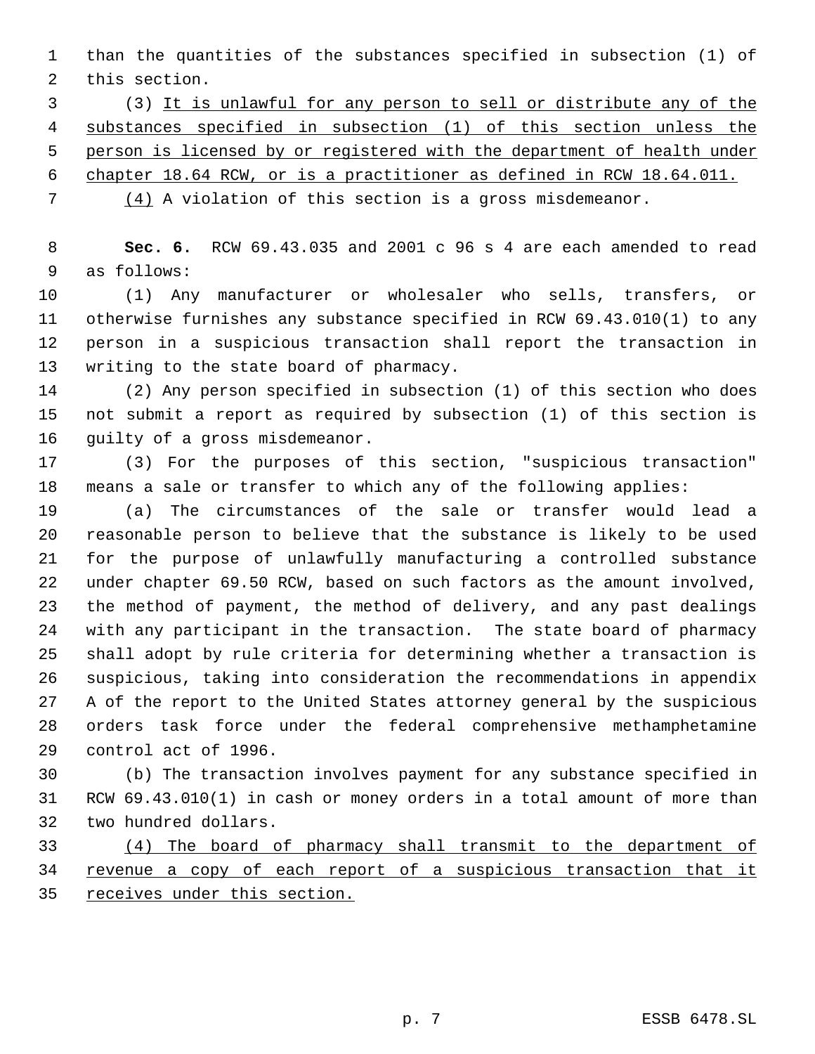than the quantities of the substances specified in subsection (1) of this section.

 (3) It is unlawful for any person to sell or distribute any of the substances specified in subsection (1) of this section unless the person is licensed by or registered with the department of health under chapter 18.64 RCW, or is a practitioner as defined in RCW 18.64.011.

(4) A violation of this section is a gross misdemeanor.

 **Sec. 6.** RCW 69.43.035 and 2001 c 96 s 4 are each amended to read as follows:

 (1) Any manufacturer or wholesaler who sells, transfers, or otherwise furnishes any substance specified in RCW 69.43.010(1) to any person in a suspicious transaction shall report the transaction in writing to the state board of pharmacy.

 (2) Any person specified in subsection (1) of this section who does not submit a report as required by subsection (1) of this section is guilty of a gross misdemeanor.

 (3) For the purposes of this section, "suspicious transaction" means a sale or transfer to which any of the following applies:

 (a) The circumstances of the sale or transfer would lead a reasonable person to believe that the substance is likely to be used for the purpose of unlawfully manufacturing a controlled substance under chapter 69.50 RCW, based on such factors as the amount involved, the method of payment, the method of delivery, and any past dealings with any participant in the transaction. The state board of pharmacy shall adopt by rule criteria for determining whether a transaction is suspicious, taking into consideration the recommendations in appendix A of the report to the United States attorney general by the suspicious orders task force under the federal comprehensive methamphetamine control act of 1996.

 (b) The transaction involves payment for any substance specified in RCW 69.43.010(1) in cash or money orders in a total amount of more than two hundred dollars.

 (4) The board of pharmacy shall transmit to the department of 34 revenue a copy of each report of a suspicious transaction that it receives under this section.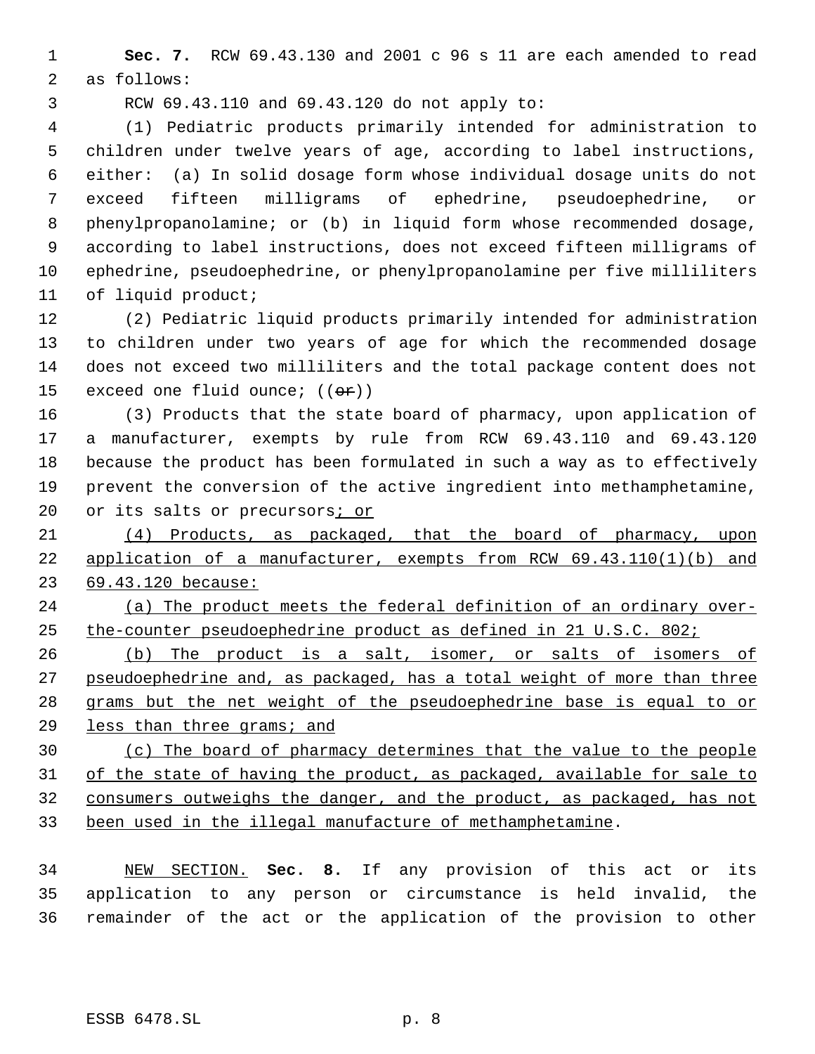**Sec. 7.** RCW 69.43.130 and 2001 c 96 s 11 are each amended to read as follows:

RCW 69.43.110 and 69.43.120 do not apply to:

 (1) Pediatric products primarily intended for administration to children under twelve years of age, according to label instructions, either: (a) In solid dosage form whose individual dosage units do not exceed fifteen milligrams of ephedrine, pseudoephedrine, or phenylpropanolamine; or (b) in liquid form whose recommended dosage, according to label instructions, does not exceed fifteen milligrams of ephedrine, pseudoephedrine, or phenylpropanolamine per five milliliters of liquid product;

 (2) Pediatric liquid products primarily intended for administration to children under two years of age for which the recommended dosage does not exceed two milliliters and the total package content does not 15 exceed one fluid ounce;  $((er))$ 

 (3) Products that the state board of pharmacy, upon application of a manufacturer, exempts by rule from RCW 69.43.110 and 69.43.120 because the product has been formulated in such a way as to effectively prevent the conversion of the active ingredient into methamphetamine, 20 or its salts or precursors*i* or

 (4) Products, as packaged, that the board of pharmacy, upon application of a manufacturer, exempts from RCW 69.43.110(1)(b) and 69.43.120 because:

 (a) The product meets the federal definition of an ordinary over-the-counter pseudoephedrine product as defined in 21 U.S.C. 802;

 (b) The product is a salt, isomer, or salts of isomers of 27 pseudoephedrine and, as packaged, has a total weight of more than three grams but the net weight of the pseudoephedrine base is equal to or less than three grams; and

 (c) The board of pharmacy determines that the value to the people of the state of having the product, as packaged, available for sale to consumers outweighs the danger, and the product, as packaged, has not been used in the illegal manufacture of methamphetamine.

 NEW SECTION. **Sec. 8.** If any provision of this act or its application to any person or circumstance is held invalid, the remainder of the act or the application of the provision to other